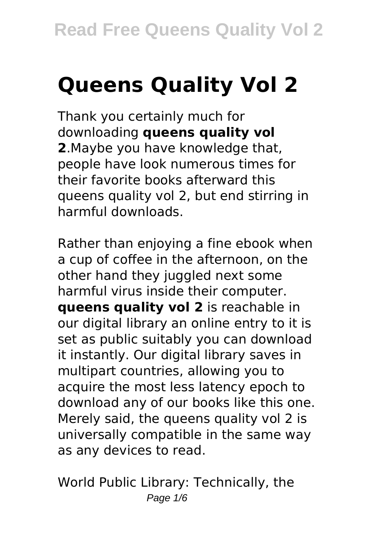# **Queens Quality Vol 2**

Thank you certainly much for downloading **queens quality vol 2**.Maybe you have knowledge that, people have look numerous times for their favorite books afterward this queens quality vol 2, but end stirring in harmful downloads.

Rather than enjoying a fine ebook when a cup of coffee in the afternoon, on the other hand they juggled next some harmful virus inside their computer. **queens quality vol 2** is reachable in our digital library an online entry to it is set as public suitably you can download it instantly. Our digital library saves in multipart countries, allowing you to acquire the most less latency epoch to download any of our books like this one. Merely said, the queens quality vol 2 is universally compatible in the same way as any devices to read.

World Public Library: Technically, the Page  $1/6$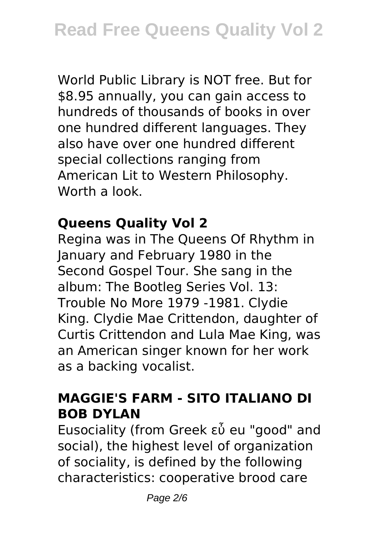World Public Library is NOT free. But for \$8.95 annually, you can gain access to hundreds of thousands of books in over one hundred different languages. They also have over one hundred different special collections ranging from American Lit to Western Philosophy. Worth a look.

#### **Queens Quality Vol 2**

Regina was in The Queens Of Rhythm in January and February 1980 in the Second Gospel Tour. She sang in the album: The Bootleg Series Vol. 13: Trouble No More 1979 -1981. Clydie King. Clydie Mae Crittendon, daughter of Curtis Crittendon and Lula Mae King, was an American singer known for her work as a backing vocalist.

#### **MAGGIE'S FARM - SITO ITALIANO DI BOB DYLAN**

Eusociality (from Greek εὖ eu "good" and social), the highest level of organization of sociality, is defined by the following characteristics: cooperative brood care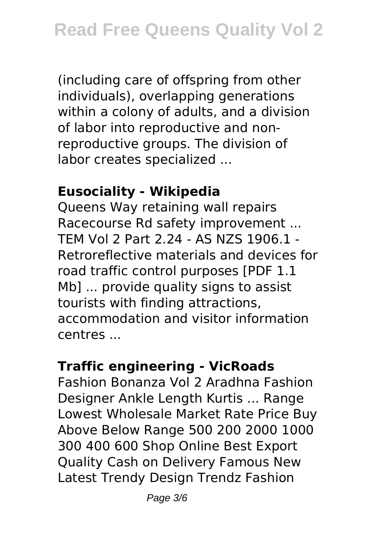(including care of offspring from other individuals), overlapping generations within a colony of adults, and a division of labor into reproductive and nonreproductive groups. The division of labor creates specialized ...

#### **Eusociality - Wikipedia**

Queens Way retaining wall repairs Racecourse Rd safety improvement ... TEM Vol 2 Part 2.24 - AS NZS 1906.1 - Retroreflective materials and devices for road traffic control purposes [PDF 1.1 Mb] ... provide quality signs to assist tourists with finding attractions, accommodation and visitor information centres ...

## **Traffic engineering - VicRoads**

Fashion Bonanza Vol 2 Aradhna Fashion Designer Ankle Length Kurtis ... Range Lowest Wholesale Market Rate Price Buy Above Below Range 500 200 2000 1000 300 400 600 Shop Online Best Export Quality Cash on Delivery Famous New Latest Trendy Design Trendz Fashion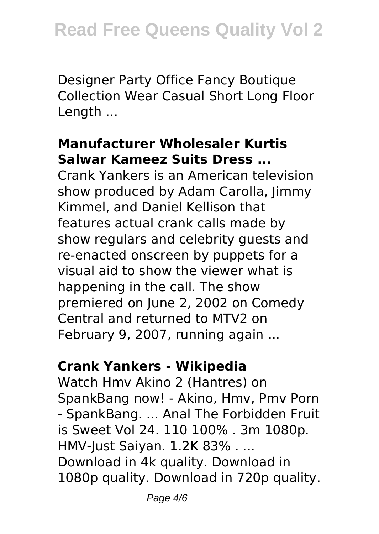Designer Party Office Fancy Boutique Collection Wear Casual Short Long Floor Length ...

#### **Manufacturer Wholesaler Kurtis Salwar Kameez Suits Dress ...**

Crank Yankers is an American television show produced by Adam Carolla, Jimmy Kimmel, and Daniel Kellison that features actual crank calls made by show regulars and celebrity guests and re-enacted onscreen by puppets for a visual aid to show the viewer what is happening in the call. The show premiered on June 2, 2002 on Comedy Central and returned to MTV2 on February 9, 2007, running again ...

## **Crank Yankers - Wikipedia**

Watch Hmv Akino 2 (Hantres) on SpankBang now! - Akino, Hmv, Pmv Porn - SpankBang. ... Anal The Forbidden Fruit is Sweet Vol 24. 110 100% . 3m 1080p. HMV-Just Saiyan. 1.2K 83% . ... Download in 4k quality. Download in 1080p quality. Download in 720p quality.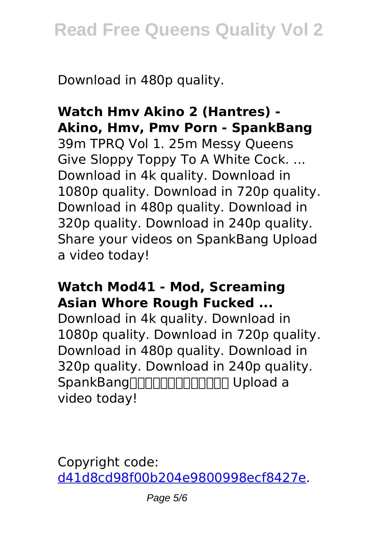Download in 480p quality.

#### **Watch Hmv Akino 2 (Hantres) - Akino, Hmv, Pmv Porn - SpankBang** 39m TPRQ Vol 1. 25m Messy Queens Give Sloppy Toppy To A White Cock. ... Download in 4k quality. Download in 1080p quality. Download in 720p quality. Download in 480p quality. Download in 320p quality. Download in 240p quality. Share your videos on SpankBang Upload a video today!

#### **Watch Mod41 - Mod, Screaming Asian Whore Rough Fucked ...**

Download in 4k quality. Download in 1080p quality. Download in 720p quality. Download in 480p quality. Download in 320p quality. Download in 240p quality. SpankBang | Manne | Manne Upload a video today!

Copyright code: [d41d8cd98f00b204e9800998ecf8427e.](/sitemap.xml)